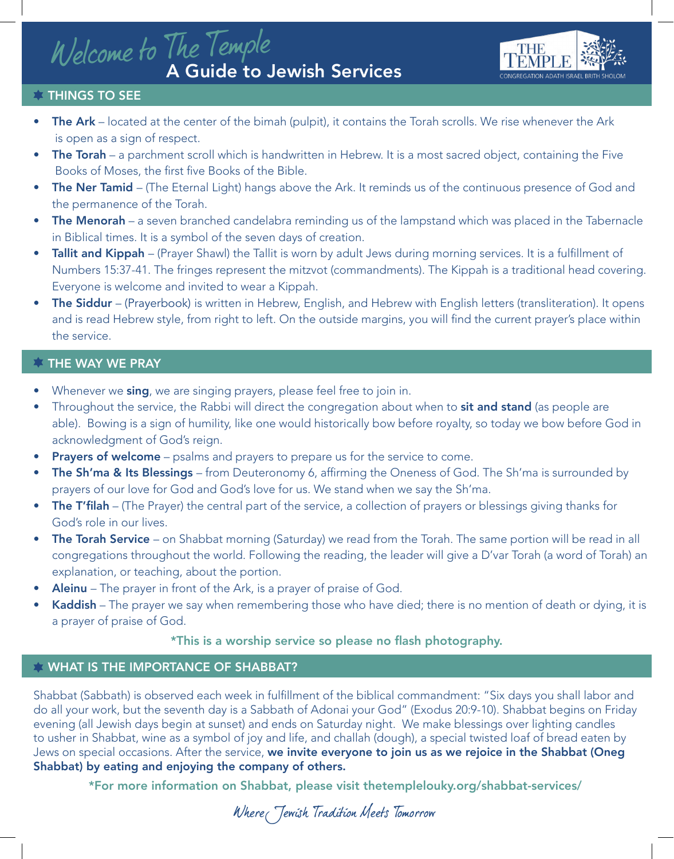# Welcome to The Temple<br>A Guide to Jewish Services



### **THINGS TO SEE**

- The Ark located at the center of the bimah (pulpit), it contains the Torah scrolls. We rise whenever the Ark is open as a sign of respect.
- The Torah a parchment scroll which is handwritten in Hebrew. It is a most sacred object, containing the Five Books of Moses, the first five Books of the Bible.
- The Ner Tamid (The Eternal Light) hangs above the Ark. It reminds us of the continuous presence of God and the permanence of the Torah.
- The Menorah a seven branched candelabra reminding us of the lampstand which was placed in the Tabernacle in Biblical times. It is a symbol of the seven days of creation.
- Tallit and Kippah (Prayer Shawl) the Tallit is worn by adult Jews during morning services. It is a fulfillment of Numbers 15:37-41. The fringes represent the mitzvot (commandments). The Kippah is a traditional head covering. Everyone is welcome and invited to wear a Kippah.
- The Siddur (Prayerbook) is written in Hebrew, English, and Hebrew with English letters (transliteration). It opens and is read Hebrew style, from right to left. On the outside margins, you will find the current prayer's place within the service.

### **THE WAY WE PRAY**

- Whenever we sing, we are singing prayers, please feel free to join in.
- Throughout the service, the Rabbi will direct the congregation about when to sit and stand (as people are able). Bowing is a sign of humility, like one would historically bow before royalty, so today we bow before God in acknowledgment of God's reign.
- **Prayers of welcome** psalms and prayers to prepare us for the service to come.
- The Sh'ma & Its Blessings from Deuteronomy 6, affirming the Oneness of God. The Sh'ma is surrounded by prayers of our love for God and God's love for us. We stand when we say the Sh'ma.
- **The T'filah** (The Prayer) the central part of the service, a collection of prayers or blessings giving thanks for God's role in our lives.
- **The Torah Service** on Shabbat morning (Saturday) we read from the Torah. The same portion will be read in all congregations throughout the world. Following the reading, the leader will give a D'var Torah (a word of Torah) an explanation, or teaching, about the portion.
- Aleinu The prayer in front of the Ark, is a prayer of praise of God.
- Kaddish The prayer we say when remembering those who have died; there is no mention of death or dying, it is a prayer of praise of God.

### \*This is a worship service so please no flash photography.

### **WHAT IS THE IMPORTANCE OF SHABBAT?**

Shabbat (Sabbath) is observed each week in fulfillment of the biblical commandment: "Six days you shall labor and do all your work, but the seventh day is a Sabbath of Adonai your God" (Exodus 20:9-10). Shabbat begins on Friday evening (all Jewish days begin at sunset) and ends on Saturday night. We make blessings over lighting candles to usher in Shabbat, wine as a symbol of joy and life, and challah (dough), a special twisted loaf of bread eaten by Jews on special occasions. After the service, we invite everyone to join us as we rejoice in the Shabbat (Oneg Shabbat) by eating and enjoying the company of others.

\*For more information on Shabbat, please visit thetemplelouky.org/shabbat-services/

Where Jewish Tradition Meets Tomorrow